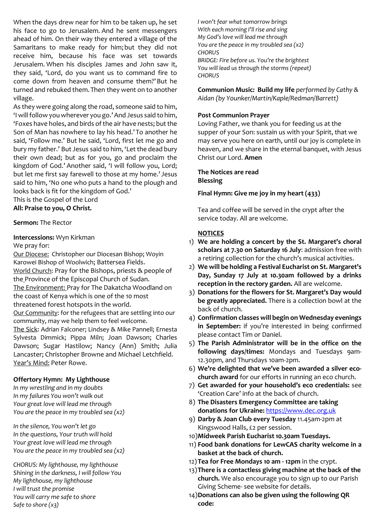When the days drew near for him to be taken up, he set his face to go to Jerusalem. And he sent messengers ahead of him. On their way they entered a village of the Samaritans to make ready for him; but they did not receive him, because his face was set towards Jerusalem. When his disciples James and John saw it, they said, 'Lord, do you want us to command fire to come down from heaven and consume them?'But he turned and rebuked them. Then they went on to another village.

As they were going along the road, someone said to him, 'I will follow you wherever you go.'And Jesus said to him, 'Foxes have holes, and birds of the air have nests; but the Son of Man has nowhere to lay his head.' To another he said, 'Follow me.' But he said, 'Lord, first let me go and bury my father.' But Jesus said to him, 'Let the dead bury their own dead; but as for you, go and proclaim the kingdom of God.' Another said, 'I will follow you, Lord; but let me first say farewell to those at my home.' Jesus said to him, 'No one who puts a hand to the plough and looks back is fit for the kingdom of God.'

#### This is the Gospel of the Lord **All: Praise to you, O Christ.**

# **Sermon:** The Rector

## **Intercessions:** Wyn Kirkman

We pray for:

Our Diocese: Christopher our Diocesan Bishop; Woyin Karowei Bishop of Woolwich; Battersea Fields. World Church: Pray for the Bishops, priests & people of the Province of the Episcopal Church of Sudan. The Environment: Pray for The Dakatcha Woodland on the coast of Kenya which is one of the 10 most threatened forest hotspots in the world. Our Community: for the refugees that are settling into our community, may we help them to feel welcome. The Sick: Adrian Falconer; Lindsey & Mike Pannell; Ernesta Sylvesta Dimmick; Pippa Miln; Joan Dawson; Charles

Dawson; Sugar Hastilow; Nancy (Ann) Smith; Julia Lancaster; Christopher Browne and Michael Letchfield. Year's Mind: Peter Rowe.

## **Offertory Hymn: My Lighthouse**

*In my wrestling and in my doubts In my failures You won't walk out Your great love will lead me through You are the peace in my troubled sea (x2)*

*In the silence, You won't let go In the questions, Your truth will hold Your great love will lead me through You are the peace in my troubled sea (x2)*

*CHORUS: My lighthouse, my lighthouse Shining in the darkness, I will follow You My lighthouse, my lighthouse I will trust the promise You will carry me safe to shore Safe to shore (x3)*

*I won't fear what tomorrow brings With each morning I'll rise and sing My God's love will lead me through You are the peace in my troubled sea (x2) CHORUS BRIDGE: Fire before us. You're the brightest You will lead us through the storms (repeat) CHORUS*

**Communion Music***:* **Build my life** *performed by Cathy & Aidan (by Younker/Martin/Kaple/Redman/Barrett)*

# **Post Communion Prayer**

Loving Father, we thank you for feeding us at the supper of your Son: sustain us with your Spirit, that we may serve you here on earth, until our joy is complete in heaven, and we share in the eternal banquet, with Jesus Christ our Lord. **Amen**

#### **The Notices are read Blessing**

# **Final Hymn: Give me joy in my heart (433)**

Tea and coffee will be served in the crypt after the service today. All are welcome.

# **NOTICES**

- 1) **We are holding a concert by the St. Margaret's choral scholars at 7.30 on Saturday 16 July**: admission free with a retiring collection for the church's musical activities.
- 2) **We will be holding a Festival Eucharist on St. Margaret's Day, Sunday 17 July at 10.30am followed by a drinks reception in the rectory garden.** All are welcome.
- 3) **Donations for the flowers for St. Margaret's Day would be greatly appreciated.** There is a collection bowl at the back of church.
- 4) **Confirmation classes will begin on Wednesday evenings in September:** if you're interested in being confirmed please contact Tim or Daniel.
- 5) **The Parish Administrator will be in the office on the following days/times:** Mondays and Tuesdays 9am-12.30pm, and Thursdays 10am-2pm.
- 6) **We're delighted that we've been awarded a silver ecochurch award** for our efforts in running an eco church.
- 7) **Get awarded for your household's eco credentials:** see 'Creation Care' info at the back of church.
- 8) **The Disasters Emergency Committee are taking donations for Ukraine:** [https://www.dec.org.uk](https://www.dec.org.uk/)
- 9) **Darby & Joan Club every Tuesday** 11.45am-2pm at Kingswood Halls, £2 per session.
- 10)**Midweek Parish Eucharist 10.30am Tuesdays.**
- 11) **Food bank donations for LewCAS charity welcome in a basket at the back of church.**
- 12)**Tea for Free Mondays 10 am - 12pm** in the crypt.
- 13)**There is a contactless giving machine at the back of the church.** We also encourage you to sign up to our Parish Giving Scheme- see website for details.
- 14)**Donations can also be given using the following QR code:**